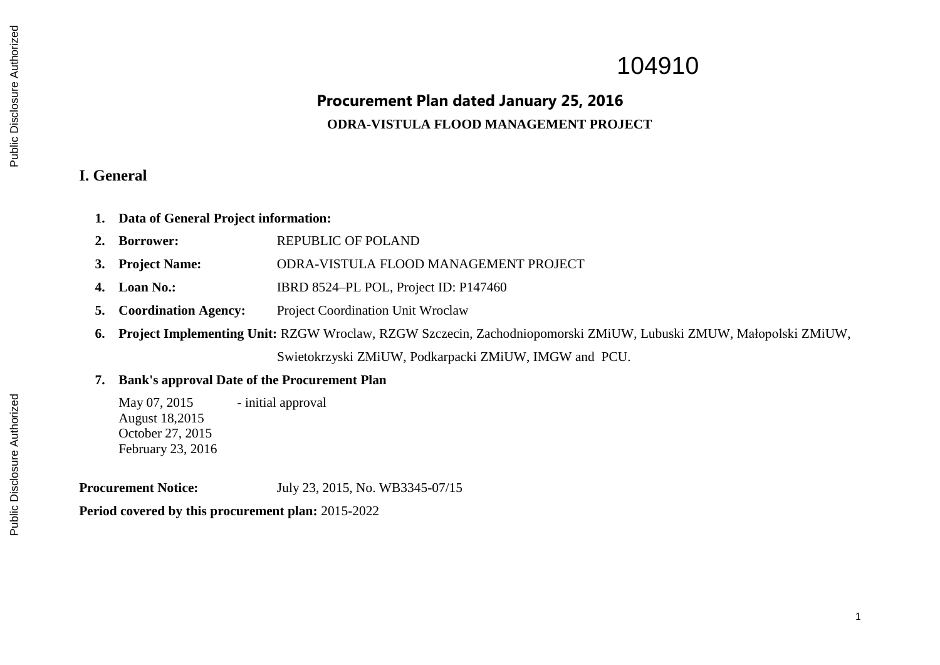# 104910

# **Procurement Plan dated January 25, 2016 ODRA-VISTULA FLOOD MANAGEMENT PROJECT**

#### **I. General**

- **1. Data of General Project information:**
- 2. **Borrower: REPUBLIC OF POLAND**
- **3. Project Name:** ODRA-VISTULA FLOOD MANAGEMENT PROJECT
- **4. Loan No.:** IBRD 8524–PL POL, Project ID: P147460
- **5. Coordination Agency:** Project Coordination Unit Wroclaw
- **6. Project Implementing Unit:** RZGW Wroclaw, RZGW Szczecin, Zachodniopomorski ZMiUW, Lubuski ZMUW, Małopolski ZMiUW, Swietokrzyski ZMiUW, Podkarpacki ZMiUW, IMGW and PCU.
- **7. Bank's approval Date of the Procurement Plan**

May 07, 2015 - initial approval August 18,2015 October 27, 2015 February 23, 2016

**Procurement Notice:** July 23, 2015, No. WB3345-07/15

**Period covered by this procurement plan:** 2015-2022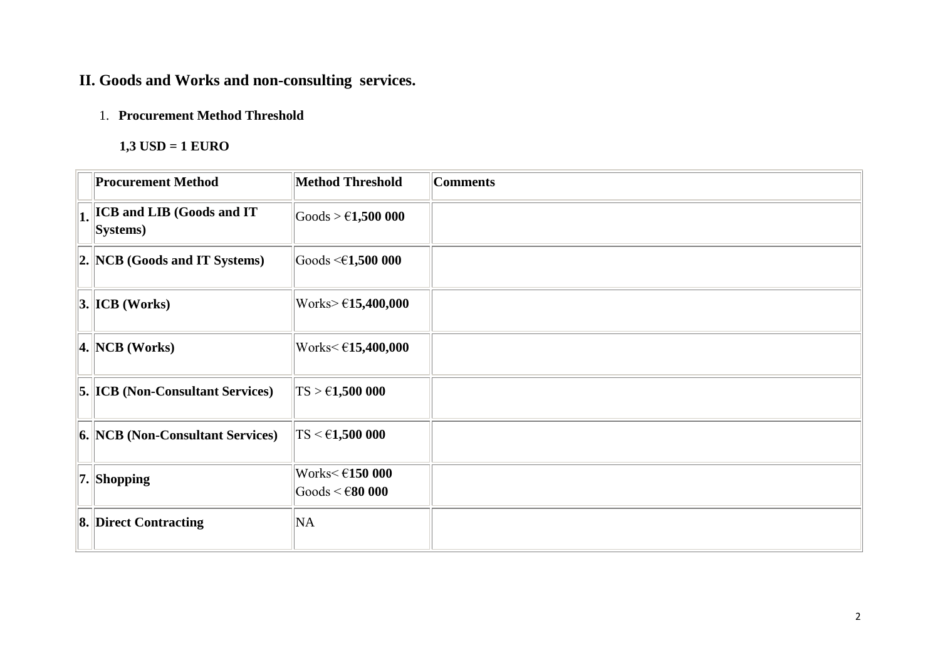## **II. Goods and Works and non-consulting services.**

### 1. **Procurement Method Threshold**

#### **1,3 USD = 1 EURO**

| <b>Procurement Method</b>                       | <b>Method Threshold</b>                                                    | <b>Comments</b> |
|-------------------------------------------------|----------------------------------------------------------------------------|-----------------|
| $\Vert_1$ ICB and LIB (Goods and IT<br>Systems) | $\text{Goods} > \text{\textsterling}1,500\ 000$                            |                 |
| 2. NCB (Goods and IT Systems)                   | Goods $\leq 1,500000$                                                      |                 |
| $3.$ ICB (Works)                                | Works> $€15,400,000$                                                       |                 |
| 4. NCB (Works)                                  | Works< €15,400,000                                                         |                 |
| <b>5. ICB (Non-Consultant Services)</b>         | $TS > \epsilon$ 1,500 000                                                  |                 |
| <b>6. NCB (Non-Consultant Services)</b>         | $\rm TS \leq 61,500~000$                                                   |                 |
| $  7.  $ Shopping                               | Works $\leq$ $\in$ 150 000<br>$\text{Goods} < \text{\textsterling}80\ 000$ |                 |
| <b>8. Direct Contracting</b>                    | NA                                                                         |                 |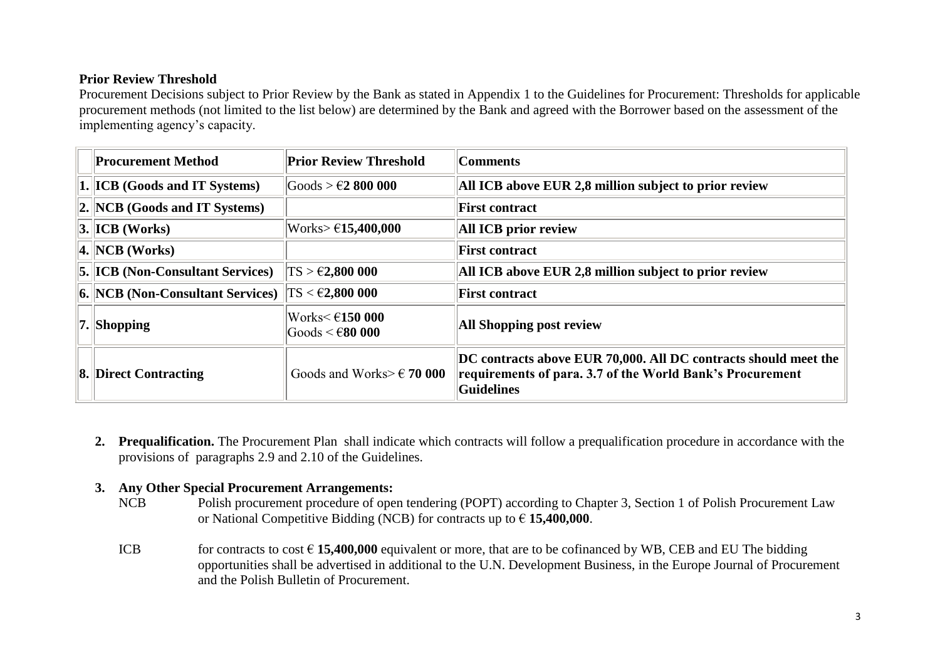#### **Prior Review Threshold**

Procurement Decisions subject to Prior Review by the Bank as stated in Appendix 1 to the Guidelines for Procurement: Thresholds for applicable procurement methods (not limited to the list below) are determined by the Bank and agreed with the Borrower based on the assessment of the implementing agency's capacity.

| <b>Procurement Method</b>                | <b>Prior Review Threshold</b>                              | <b>Comments</b>                                                                                                                            |
|------------------------------------------|------------------------------------------------------------|--------------------------------------------------------------------------------------------------------------------------------------------|
| <b>1. ICB (Goods and IT Systems)</b>     | $\text{Goods} > \text{\textsterling}2\ 800\ 000$           | All ICB above EUR 2,8 million subject to prior review                                                                                      |
| $\ 2. \text{NCB}$ (Goods and IT Systems) |                                                            | <b>First contract</b>                                                                                                                      |
| 3.  ICB (Works)                          | $\text{Works} > \text{\textsterling}15,400,000$            | <b>All ICB prior review</b>                                                                                                                |
| 4. NCB (Works)                           |                                                            | <b>First contract</b>                                                                                                                      |
| <b>5. ICB</b> (Non-Consultant Services)  | $ TS> \text{\textsterling}2,800\,000$                      | All ICB above EUR 2,8 million subject to prior review                                                                                      |
| <b>6. NCB (Non-Consultant Services)</b>  | $\text{TS} < \text{\textsterling}2,800\ 000$               | <b>First contract</b>                                                                                                                      |
| $ 7. \mathrm{Shopping} $                 | Works $\leq$ $\in$ 150 000<br>$ Goods \leq \epsilon 80000$ | <b>All Shopping post review</b>                                                                                                            |
| <b>8. Direct Contracting</b>             | Goods and Works> $\epsilon$ 70 000                         | DC contracts above EUR 70,000. All DC contracts should meet the<br>requirements of para. 3.7 of the World Bank's Procurement<br>Guidelines |

**2. Prequalification.** The Procurement Plan shall indicate which contracts will follow a prequalification procedure in accordance with the provisions of paragraphs 2.9 and 2.10 of the Guidelines.

#### **3. Any Other Special Procurement Arrangements:**

- NCB Polish procurement procedure of open tendering (POPT) according to Chapter 3, Section 1 of Polish Procurement Law or National Competitive Bidding (NCB) for contracts up to € **15,400,000**.
- ICB for contracts to cost  $\in$  15.400,000 equivalent or more, that are to be cofinanced by WB, CEB and EU The bidding opportunities shall be advertised in additional to the U.N. Development Business, in the Europe Journal of Procurement and the Polish Bulletin of Procurement.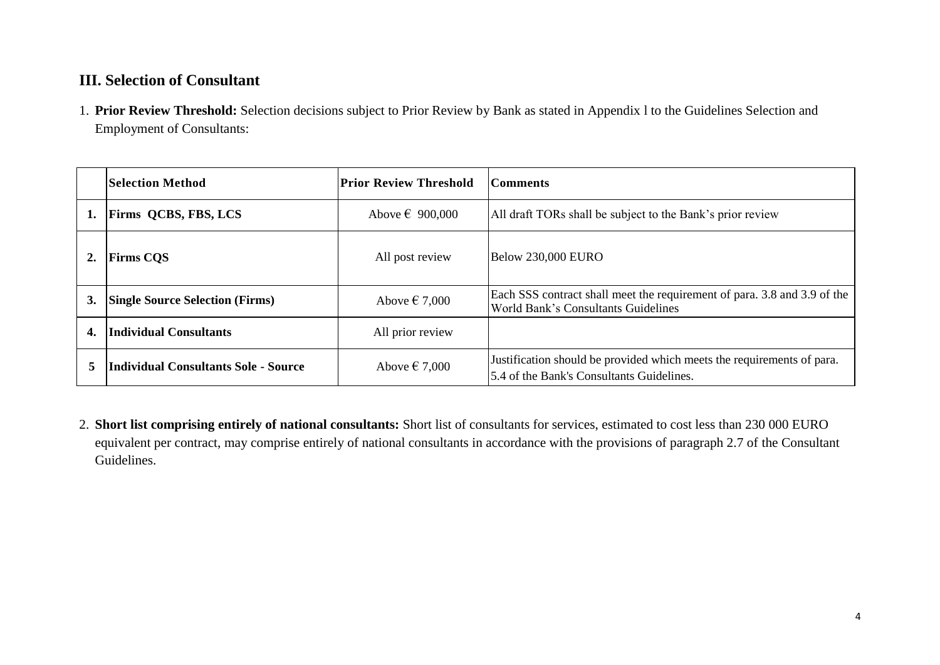## **III. Selection of Consultant**

1. **Prior Review Threshold:** Selection decisions subject to Prior Review by Bank as stated in Appendix l to the Guidelines Selection and Employment of Consultants:

|                | <b>Selection Method</b>                | Prior Review Threshold   | Comments                                                                                                               |
|----------------|----------------------------------------|--------------------------|------------------------------------------------------------------------------------------------------------------------|
| 1.             | <b>Firms QCBS, FBS, LCS</b>            | Above $\epsilon$ 900,000 | All draft TORs shall be subject to the Bank's prior review                                                             |
| $\mathbf{2}$ . | <b>Firms COS</b>                       | All post review          | <b>Below 230,000 EURO</b>                                                                                              |
| 3.             | <b>Single Source Selection (Firms)</b> | Above $\epsilon$ 7,000   | Each SSS contract shall meet the requirement of para. 3.8 and 3.9 of the<br><b>World Bank's Consultants Guidelines</b> |
| 4.             | Individual Consultants                 | All prior review         |                                                                                                                        |
| 5              | Individual Consultants Sole - Source   | Above $\epsilon$ 7,000   | Justification should be provided which meets the requirements of para.<br>5.4 of the Bank's Consultants Guidelines.    |

2. **Short list comprising entirely of national consultants:** Short list of consultants for services, estimated to cost less than 230 000 EURO equivalent per contract, may comprise entirely of national consultants in accordance with the provisions of paragraph 2.7 of the Consultant Guidelines.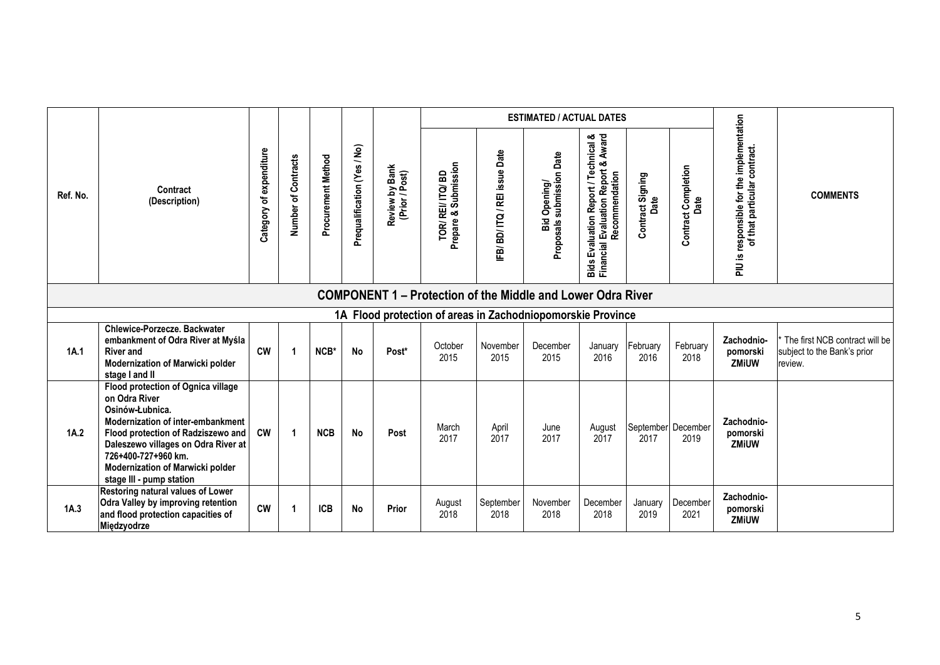|          |                                                                                                                                                                                                                                                                                 |                              |                     |                    |                             |                                  |                                        |                           | <b>ESTIMATED / ACTUAL DATES</b>                                    |                                                                                               |                          |                             |                                                                             |                                                                          |
|----------|---------------------------------------------------------------------------------------------------------------------------------------------------------------------------------------------------------------------------------------------------------------------------------|------------------------------|---------------------|--------------------|-----------------------------|----------------------------------|----------------------------------------|---------------------------|--------------------------------------------------------------------|-----------------------------------------------------------------------------------------------|--------------------------|-----------------------------|-----------------------------------------------------------------------------|--------------------------------------------------------------------------|
| Ref. No. | Contract<br>(Description)                                                                                                                                                                                                                                                       | expenditure<br>৳<br>Category | Number of Contracts | Procurement Method | Prequalification (Yes / No) | Review by Bank<br>(Prior / Post) | Prepare & Submission<br>TOR/REI/ITQ/BD | IFB/BD/ITQ/REI issue Date | Bid Opening/<br>Proposals submission Date                          | Bids Evaluation Report / Technical &<br>Financial Evaluation Report & Award<br>Recommendation | Contract Signing<br>Date | Contract Completion<br>Date | responsible for the implementation<br>of that particular contract.<br>ei ∩L | <b>COMMENTS</b>                                                          |
|          |                                                                                                                                                                                                                                                                                 |                              |                     |                    |                             |                                  |                                        |                           | <b>COMPONENT 1 – Protection of the Middle and Lower Odra River</b> |                                                                                               |                          |                             |                                                                             |                                                                          |
|          |                                                                                                                                                                                                                                                                                 |                              |                     |                    |                             |                                  |                                        |                           | 1A Flood protection of areas in Zachodniopomorskie Province        |                                                                                               |                          |                             |                                                                             |                                                                          |
| 1A.1     | Chlewice-Porzecze. Backwater<br>embankment of Odra River at Myśla<br><b>River and</b><br>Modernization of Marwicki polder<br>stage I and II                                                                                                                                     | <b>CW</b>                    | -1                  | NCB*               | <b>No</b>                   | Post*                            | October<br>2015                        | November<br>2015          | December<br>2015                                                   | January<br>2016                                                                               | February<br>2016         | February<br>2018            | Zachodnio-<br>pomorski<br><b>ZMiUW</b>                                      | The first NCB contract will be<br>subject to the Bank's prior<br>review. |
| 1A.2     | Flood protection of Ognica village<br>on Odra River<br>Osinów-Łubnica.<br>Modernization of inter-embankment<br>Flood protection of Radziszewo and<br>Daleszewo villages on Odra River at<br>726+400-727+960 km.<br>Modernization of Marwicki polder<br>stage III - pump station | $\mathsf{cw}$                | 1                   | <b>NCB</b>         | No                          | Post                             | March<br>2017                          | April<br>2017             | June<br>2017                                                       | August<br>2017                                                                                | 2017                     | September December<br>2019  | Zachodnio-<br>pomorski<br>ZMiUW                                             |                                                                          |
| 1A.3     | Restoring natural values of Lower<br><b>Odra Valley by improving retention</b><br>and flood protection capacities of<br>Międzyodrze                                                                                                                                             | <b>CW</b>                    | 1                   | <b>ICB</b>         | No                          | Prior                            | August<br>2018                         | September<br>2018         | November<br>2018                                                   | December<br>2018                                                                              | January<br>2019          | December<br>2021            | Zachodnio-<br>pomorski<br>ZMiUW                                             |                                                                          |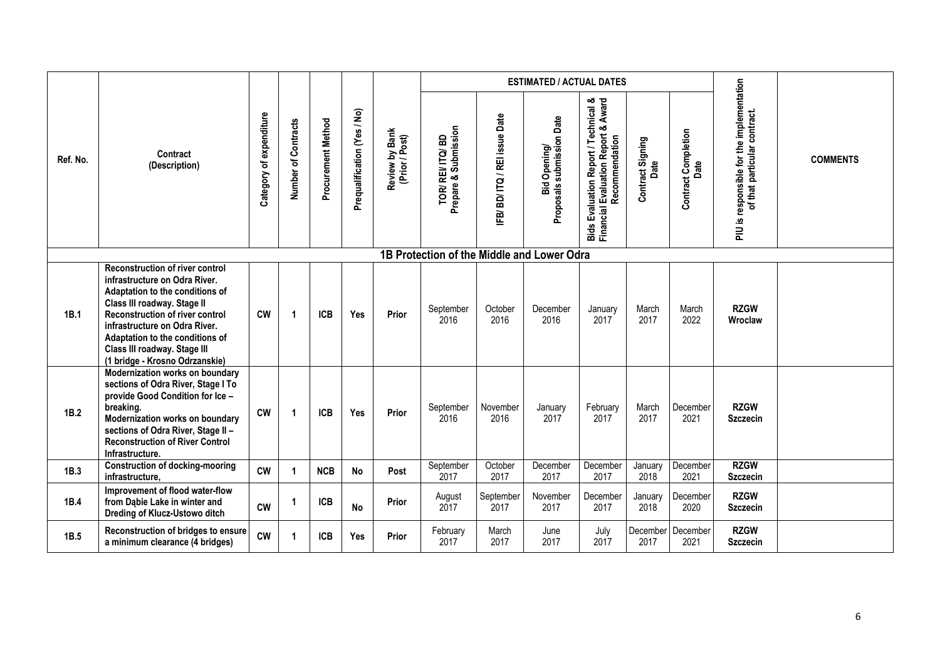|          |                                                                                                                                                                                                                                                                                                                           |                            |                     |                    |                             |                                  |                                            |                           | <b>ESTIMATED / ACTUAL DATES</b>           |                                                                                               |                          |                                    |                                                                              |                 |
|----------|---------------------------------------------------------------------------------------------------------------------------------------------------------------------------------------------------------------------------------------------------------------------------------------------------------------------------|----------------------------|---------------------|--------------------|-----------------------------|----------------------------------|--------------------------------------------|---------------------------|-------------------------------------------|-----------------------------------------------------------------------------------------------|--------------------------|------------------------------------|------------------------------------------------------------------------------|-----------------|
| Ref. No. | Contract<br>(Description)                                                                                                                                                                                                                                                                                                 | of expenditure<br>Category | Number of Contracts | Procurement Method | Prequalification (Yes / No) | Review by Bank<br>(Prior / Post) | TOR/ REI/ ITQ/ BD<br>Prepare & Submission  | IFB/BD/ITQ/REI issue Date | Proposals submission Date<br>Bid Opening/ | Bids Evaluation Report / Technical &<br>Financial Evaluation Report & Award<br>Recommendation | Contract Signing<br>Date | <b>Contract Completion</b><br>Date | responsible for the implementation<br>of that particular contract.<br>ei Nld | <b>COMMENTS</b> |
|          |                                                                                                                                                                                                                                                                                                                           |                            |                     |                    |                             |                                  | 1B Protection of the Middle and Lower Odra |                           |                                           |                                                                                               |                          |                                    |                                                                              |                 |
| 1B.1     | <b>Reconstruction of river control</b><br>infrastructure on Odra River.<br>Adaptation to the conditions of<br>Class III roadway. Stage II<br><b>Reconstruction of river control</b><br>infrastructure on Odra River.<br>Adaptation to the conditions of<br>Class III roadway. Stage III<br>(1 bridge - Krosno Odrzanskie) | <b>CW</b>                  | $\mathbf 1$         | <b>ICB</b>         | Yes                         | Prior                            | September<br>2016                          | October<br>2016           | December<br>2016                          | January<br>2017                                                                               | March<br>2017            | March<br>2022                      | <b>RZGW</b><br>Wroclaw                                                       |                 |
| 1B.2     | Modernization works on boundary<br>sections of Odra River, Stage I To<br>provide Good Condition for Ice -<br>breaking.<br>Modernization works on boundary<br>sections of Odra River, Stage II -<br><b>Reconstruction of River Control</b><br>Infrastructure.                                                              | <b>CW</b>                  | 1                   | <b>ICB</b>         | Yes                         | Prior                            | September<br>2016                          | November<br>2016          | January<br>2017                           | February<br>2017                                                                              | March<br>2017            | December<br>2021                   | <b>RZGW</b><br><b>Szczecin</b>                                               |                 |
| 1B.3     | <b>Construction of docking-mooring</b><br>infrastructure.                                                                                                                                                                                                                                                                 | <b>CW</b>                  |                     | <b>NCB</b>         | No                          | Post                             | September<br>2017                          | October<br>2017           | December<br>2017                          | December<br>2017                                                                              | January<br>2018          | December<br>2021                   | <b>RZGW</b><br><b>Szczecin</b>                                               |                 |
| 1B.4     | Improvement of flood water-flow<br>from Dabie Lake in winter and<br>Dreding of Klucz-Ustowo ditch                                                                                                                                                                                                                         | <b>CW</b>                  | -1                  | <b>ICB</b>         | <b>No</b>                   | Prior                            | August<br>2017                             | September<br>2017         | November<br>2017                          | December<br>2017                                                                              | January<br>2018          | December<br>2020                   | <b>RZGW</b><br><b>Szczecin</b>                                               |                 |
| 1B.5     | Reconstruction of bridges to ensure<br>a minimum clearance (4 bridges)                                                                                                                                                                                                                                                    | cw                         |                     | <b>ICB</b>         | Yes                         | Prior                            | February<br>2017                           | March<br>2017             | June<br>2017                              | July<br>2017                                                                                  | December<br>2017         | December<br>2021                   | <b>RZGW</b><br><b>Szczecin</b>                                               |                 |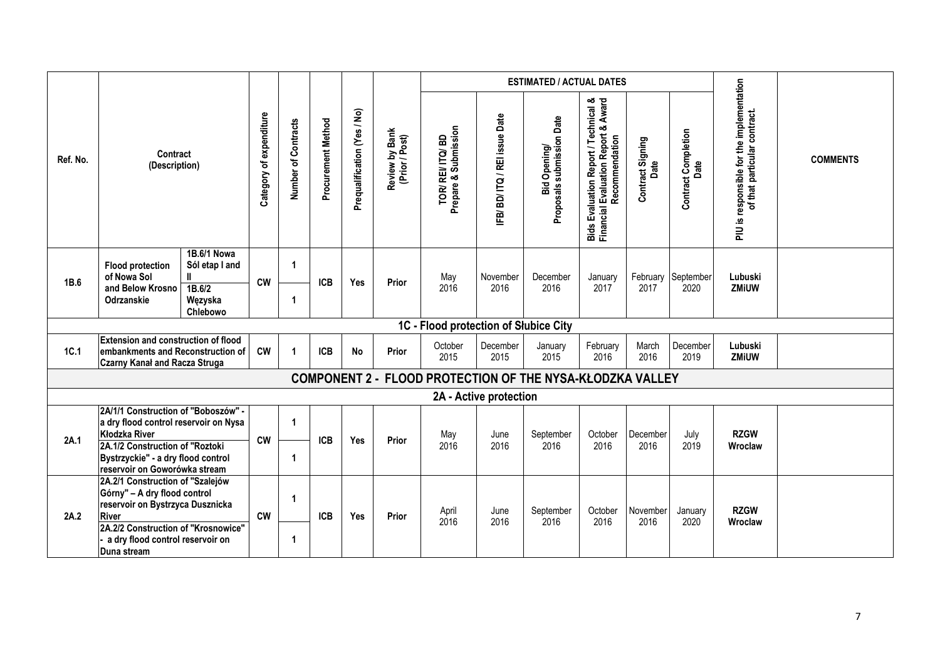|          | <b>ESTIMATED / ACTUAL DATES</b>                                                                                                                                                                                |                                                                |                         |                     |                    |                             |                                  |                                           |                           |                                                           |                                                                                                               |                          |                                    |                                                                              |                 |
|----------|----------------------------------------------------------------------------------------------------------------------------------------------------------------------------------------------------------------|----------------------------------------------------------------|-------------------------|---------------------|--------------------|-----------------------------|----------------------------------|-------------------------------------------|---------------------------|-----------------------------------------------------------|---------------------------------------------------------------------------------------------------------------|--------------------------|------------------------------------|------------------------------------------------------------------------------|-----------------|
| Ref. No. | Contract<br>(Description)                                                                                                                                                                                      |                                                                | Category of expenditure | Number of Contracts | Procurement Method | Prequalification (Yes / No) | Review by Bank<br>(Prior / Post) | TOR/ REI/ ITQ/ BD<br>Prepare & Submission | IFB/BD/ITQ/REI issue Date | Proposals submission Date<br>Bid Opening/                 | <b>Bids Evaluation Report / Technical &amp;<br/>Financial Evaluation Report &amp; Award</b><br>Recommendation | Contract Signing<br>Date | <b>Contract Completion</b><br>Date | responsible for the implementation<br>of that particular contract.<br>ei Uld | <b>COMMENTS</b> |
| 1B.6     | <b>Flood protection</b><br>of Nowa Sol<br>and Below Krosno<br>Odrzanskie                                                                                                                                       | 1B.6/1 Nowa<br>Sól etap I and<br>1B.6/2<br>Węzyska<br>Chlebowo | <b>CW</b>               | $\mathbf{1}$        | <b>ICB</b>         | Yes                         | Prior                            | May<br>2016                               | November<br>2016          | December<br>2016                                          | January<br>2017                                                                                               | 2017                     | February September<br>2020         | Lubuski<br>ZMiUW                                                             |                 |
|          |                                                                                                                                                                                                                |                                                                |                         |                     |                    |                             |                                  | 1C - Flood protection of Słubice City     |                           |                                                           |                                                                                                               |                          |                                    |                                                                              |                 |
| 1C.1     | <b>Extension and construction of flood</b><br>embankments and Reconstruction of<br><b>Czarny Kanał and Racza Struga</b>                                                                                        |                                                                | <b>CW</b>               | $\mathbf 1$         | <b>ICB</b>         | <b>No</b>                   | Prior                            | October<br>2015                           | December<br>2015          | January<br>2015                                           | February<br>2016                                                                                              | March<br>2016            | December<br>2019                   | Lubuski<br>ZMiUW                                                             |                 |
|          |                                                                                                                                                                                                                |                                                                |                         |                     |                    |                             |                                  |                                           |                           | COMPONENT 2 - FLOOD PROTECTION OF THE NYSA-KŁODZKA VALLEY |                                                                                                               |                          |                                    |                                                                              |                 |
|          |                                                                                                                                                                                                                |                                                                |                         |                     |                    |                             |                                  |                                           | 2A - Active protection    |                                                           |                                                                                                               |                          |                                    |                                                                              |                 |
| 2A.1     | 2A/1/1 Construction of "Boboszów" -<br>a dry flood control reservoir on Nysa<br>Kłodzka River<br>2A.1/2 Construction of "Roztoki<br>Bystrzyckie" - a dry flood control<br>reservoir on Goworówka stream        |                                                                | <b>CW</b>               | -1<br>-1            | <b>ICB</b>         | Yes                         | Prior                            | May<br>2016                               | June<br>2016              | September<br>2016                                         | October<br>2016                                                                                               | December<br>2016         | July<br>2019                       | <b>RZGW</b><br>Wroclaw                                                       |                 |
| 2A.2     | 2A.2/1 Construction of "Szalejów<br>Górny" - A dry flood control<br>reservoir on Bystrzyca Dusznicka<br><b>River</b><br>2A.2/2 Construction of "Krosnowice"<br>a dry flood control reservoir on<br>Duna stream |                                                                | <b>CW</b>               | -1<br>1             | <b>ICB</b>         | Yes                         | Prior                            | April<br>2016                             | June<br>2016              | September<br>2016                                         | October<br>2016                                                                                               | November<br>2016         | January<br>2020                    | <b>RZGW</b><br>Wroclaw                                                       |                 |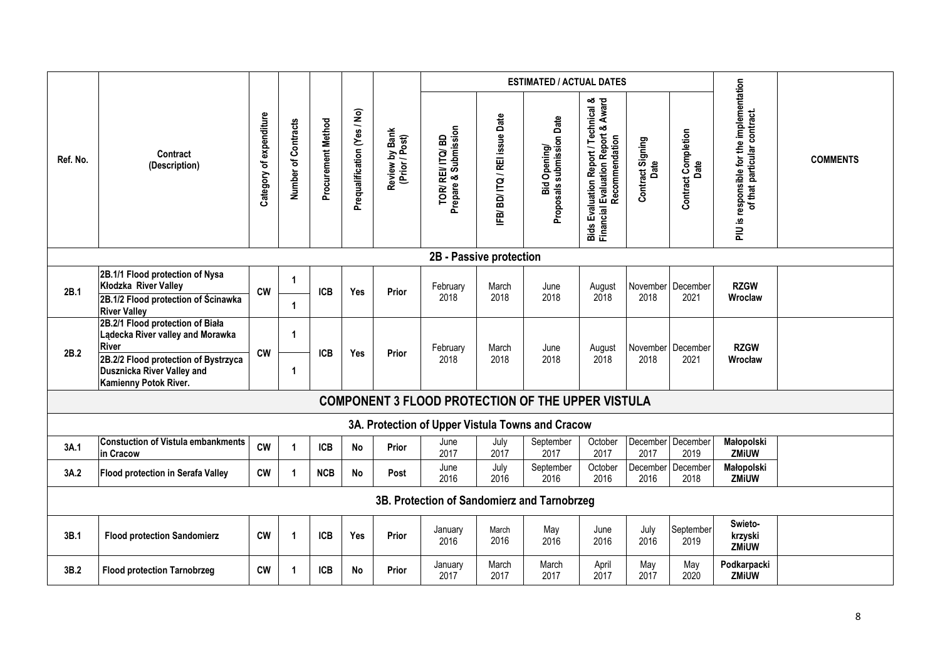|          |                                                                                                                                                                                     |                                   |                             |                    |                             |                                  |                                        |                           | <b>ESTIMATED / ACTUAL DATES</b>                          |                                                                                               |                          |                                    |                                                                              |                 |
|----------|-------------------------------------------------------------------------------------------------------------------------------------------------------------------------------------|-----------------------------------|-----------------------------|--------------------|-----------------------------|----------------------------------|----------------------------------------|---------------------------|----------------------------------------------------------|-----------------------------------------------------------------------------------------------|--------------------------|------------------------------------|------------------------------------------------------------------------------|-----------------|
| Ref. No. | Contract<br>(Description)                                                                                                                                                           | expenditure<br>፟፟፟፟፟፟<br>Category | Number of Contracts         | Procurement Method | Prequalification (Yes / No) | Review by Bank<br>(Prior / Post) | TOR/REI/ITQ/BD<br>Prepare & Submission | IFB/BD/ITQ/REI issue Date | Proposals submission Date<br>Bid Opening/                | Bids Evaluation Report / Technical &<br>Financial Evaluation Report & Award<br>Recommendation | Contract Signing<br>Date | <b>Contract Completion</b><br>Date | responsible for the implementation<br>of that particular contract.<br>si ∩ld | <b>COMMENTS</b> |
|          |                                                                                                                                                                                     |                                   |                             |                    |                             |                                  | 2B - Passive protection                |                           |                                                          |                                                                                               |                          |                                    |                                                                              |                 |
| 2B.1     | 2B.1/1 Flood protection of Nysa<br>Kłodzka River Valley<br>2B.1/2 Flood protection of Scinawka<br><b>River Valley</b>                                                               | <b>CW</b>                         | $\mathbf 1$<br>$\mathbf{1}$ | <b>ICB</b>         | Yes                         | Prior                            | February<br>2018                       | March<br>2018             | June<br>2018                                             | August<br>2018                                                                                | November<br>2018         | December<br>2021                   | <b>RZGW</b><br>Wroclaw                                                       |                 |
| 2B.2     | 2B.2/1 Flood protection of Biała<br>Lądecka River valley and Morawka<br><b>River</b><br>2B.2/2 Flood protection of Bystrzyca<br>Dusznicka River Valley and<br>Kamienny Potok River. | <b>CW</b>                         | -1<br>$\mathbf{1}$          | <b>ICB</b>         | Yes                         | Prior                            | February<br>2018                       | March<br>2018             | June<br>2018                                             | August<br>2018                                                                                | November<br>2018         | December<br>2021                   | <b>RZGW</b><br>Wrocław                                                       |                 |
|          |                                                                                                                                                                                     |                                   |                             |                    |                             |                                  |                                        |                           | <b>COMPONENT 3 FLOOD PROTECTION OF THE UPPER VISTULA</b> |                                                                                               |                          |                                    |                                                                              |                 |
|          |                                                                                                                                                                                     |                                   |                             |                    |                             |                                  |                                        |                           | 3A. Protection of Upper Vistula Towns and Cracow         |                                                                                               |                          |                                    |                                                                              |                 |
| 3A.1     | <b>Constuction of Vistula embankments</b><br>in Cracow                                                                                                                              | <b>CW</b>                         |                             | <b>ICB</b>         | <b>No</b>                   | Prior                            | June<br>2017                           | July<br>2017              | September<br>2017                                        | October<br>2017                                                                               | December<br>2017         | December<br>2019                   | Małopolski<br>ZMiUW                                                          |                 |
| 3A.2     | Flood protection in Serafa Valley                                                                                                                                                   | <b>CW</b>                         | -1                          | <b>NCB</b>         | <b>No</b>                   | Post                             | June<br>2016                           | July<br>2016              | September<br>2016                                        | October<br>2016                                                                               | December<br>2016         | December<br>2018                   | Małopolski<br>ZMiUW                                                          |                 |
|          |                                                                                                                                                                                     |                                   |                             |                    |                             |                                  |                                        |                           | 3B. Protection of Sandomierz and Tarnobrzeg              |                                                                                               |                          |                                    |                                                                              |                 |
| 3B.1     | <b>Flood protection Sandomierz</b>                                                                                                                                                  | <b>CW</b>                         | -1                          | <b>ICB</b>         | Yes                         | Prior                            | January<br>2016                        | March<br>2016             | May<br>2016                                              | June<br>2016                                                                                  | July<br>2016             | September<br>2019                  | Swieto-<br>krzyski<br><b>ZMiUW</b>                                           |                 |
| 3B.2     | <b>Flood protection Tarnobrzeg</b>                                                                                                                                                  | <b>CW</b>                         | $\mathbf 1$                 | <b>ICB</b>         | <b>No</b>                   | Prior                            | January<br>2017                        | March<br>2017             | March<br>2017                                            | April<br>2017                                                                                 | May<br>2017              | May<br>2020                        | Podkarpacki<br><b>ZMiUW</b>                                                  |                 |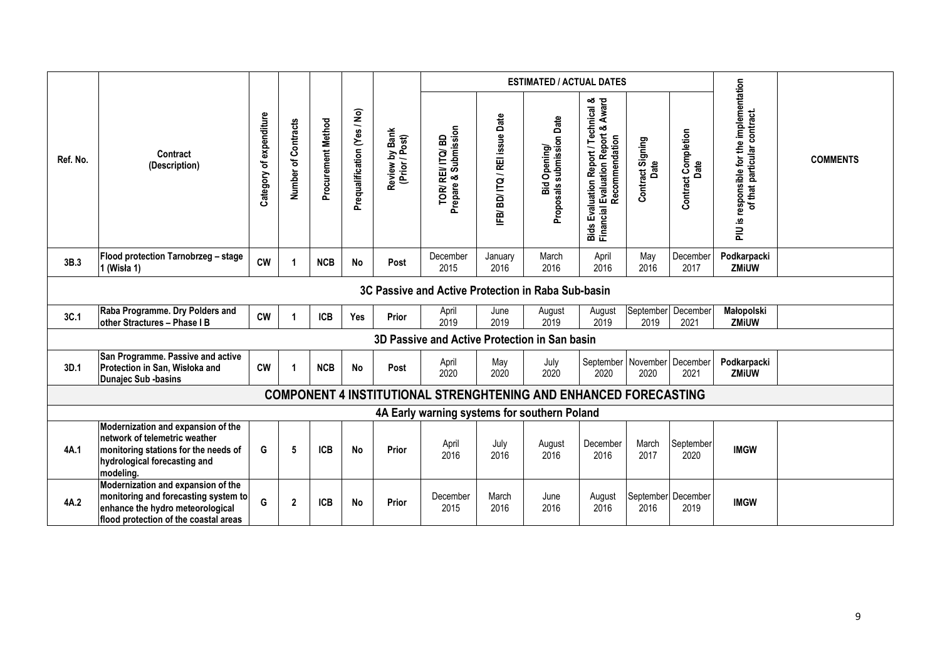|          |                                                                                                                                                          |                              |                     |                    |                             |                                  |                                                                         |                           | <b>ESTIMATED / ACTUAL DATES</b>           |                                                                                               |                                   |                                    |                                                                                                |                 |
|----------|----------------------------------------------------------------------------------------------------------------------------------------------------------|------------------------------|---------------------|--------------------|-----------------------------|----------------------------------|-------------------------------------------------------------------------|---------------------------|-------------------------------------------|-----------------------------------------------------------------------------------------------|-----------------------------------|------------------------------------|------------------------------------------------------------------------------------------------|-----------------|
| Ref. No. | Contract<br>(Description)                                                                                                                                | expenditure<br>5<br>Category | Number of Contracts | Procurement Method | Prequalification (Yes / No) | Review by Bank<br>(Prior / Post) | TOR/ REI/ ITQ/ BD<br>Prepare & Submission                               | IFB/BD/ITQ/REI issue Date | Bid Opening/<br>Proposals submission Date | Bids Evaluation Report / Technical &<br>Financial Evaluation Report & Award<br>Recommendation | act Signing<br>Date<br>Contract 9 | <b>Contract Completion</b><br>Date | for the implementation<br>responsible for the implem<br>of that particular contract.<br>ei Nld | <b>COMMENTS</b> |
| 3B.3     | Flood protection Tarnobrzeg - stage<br>1 (Wisła 1)                                                                                                       | <b>CW</b>                    |                     | <b>NCB</b>         | <b>No</b>                   | Post                             | December<br>2015                                                        | January<br>2016           | March<br>2016                             | April<br>2016                                                                                 | May<br>2016                       | December<br>2017                   | Podkarpacki<br><b>ZMiUW</b>                                                                    |                 |
|          |                                                                                                                                                          |                              |                     |                    |                             |                                  | 3C Passive and Active Protection in Raba Sub-basin                      |                           |                                           |                                                                                               |                                   |                                    |                                                                                                |                 |
| 3C.1     | Raba Programme. Dry Polders and<br>other Stractures - Phase I B                                                                                          | <b>CW</b>                    |                     | <b>ICB</b>         | Yes                         | Prior                            | April<br>2019                                                           | June<br>2019              | August<br>2019                            | August<br>2019                                                                                | September<br>2019                 | December<br>2021                   | Małopolski<br><b>ZMiUW</b>                                                                     |                 |
|          |                                                                                                                                                          |                              |                     |                    |                             |                                  | 3D Passive and Active Protection in San basin                           |                           |                                           |                                                                                               |                                   |                                    |                                                                                                |                 |
| 3D.1     | San Programme. Passive and active<br>Protection in San, Wisłoka and<br><b>Dunajec Sub -basins</b>                                                        | <b>CW</b>                    |                     | <b>NCB</b>         | <b>No</b>                   | Post                             | April<br>2020                                                           | May<br>2020               | July<br>2020                              | 2020                                                                                          | September November<br>2020        | December<br>2021                   | Podkarpacki<br><b>ZMiUW</b>                                                                    |                 |
|          |                                                                                                                                                          |                              |                     |                    |                             |                                  | <b>COMPONENT 4 INSTITUTIONAL STRENGHTENING AND ENHANCED FORECASTING</b> |                           |                                           |                                                                                               |                                   |                                    |                                                                                                |                 |
|          |                                                                                                                                                          |                              |                     |                    |                             |                                  | 4A Early warning systems for southern Poland                            |                           |                                           |                                                                                               |                                   |                                    |                                                                                                |                 |
| 4A.1     | Modernization and expansion of the<br>network of telemetric weather<br>monitoring stations for the needs of<br>hydrological forecasting and<br>modeling. | G                            | 5                   | <b>ICB</b>         | <b>No</b>                   | Prior                            | April<br>2016                                                           | July<br>2016              | August<br>2016                            | December<br>2016                                                                              | March<br>2017                     | September<br>2020                  | <b>IMGW</b>                                                                                    |                 |
| 4A.2     | Modernization and expansion of the<br>monitoring and forecasting system to<br>enhance the hydro meteorological<br>flood protection of the coastal areas  | G                            | $\overline{2}$      | <b>ICB</b>         | <b>No</b>                   | Prior                            | December<br>2015                                                        | March<br>2016             | June<br>2016                              | August<br>2016                                                                                | 2016                              | September December<br>2019         | <b>IMGW</b>                                                                                    |                 |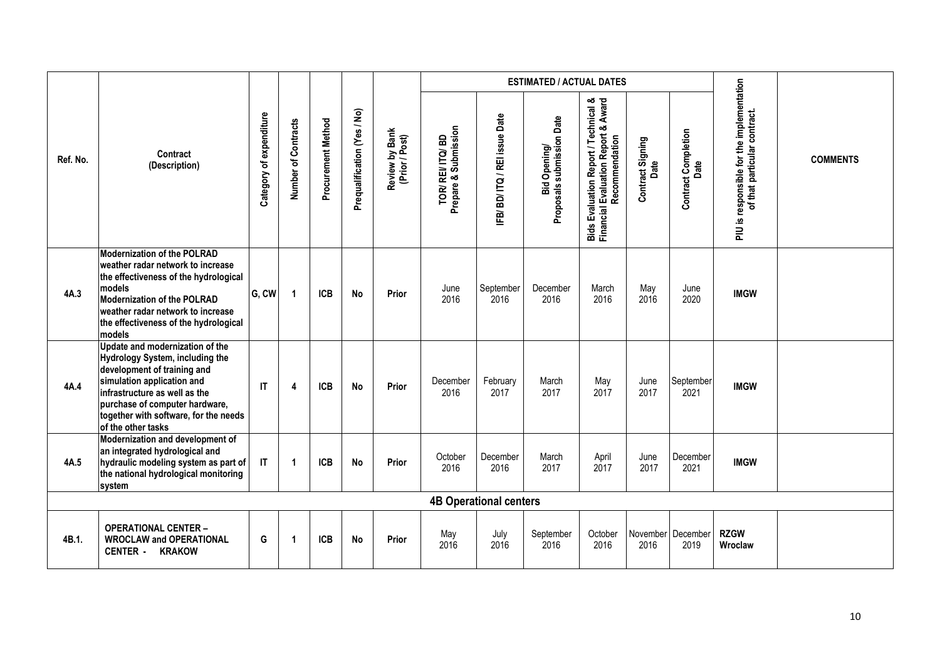|          |                                                                                                                                                                                                                                                                   |                            |                      |                    |                             |                                  |                                           |                               | <b>ESTIMATED / ACTUAL DATES</b>           |                                                                                               |                          |                                    |                                                                              |                 |
|----------|-------------------------------------------------------------------------------------------------------------------------------------------------------------------------------------------------------------------------------------------------------------------|----------------------------|----------------------|--------------------|-----------------------------|----------------------------------|-------------------------------------------|-------------------------------|-------------------------------------------|-----------------------------------------------------------------------------------------------|--------------------------|------------------------------------|------------------------------------------------------------------------------|-----------------|
| Ref. No. | Contract<br>(Description)                                                                                                                                                                                                                                         | of expenditure<br>Category | Number of Contracts  | Procurement Method | Prequalification (Yes / No) | Review by Bank<br>(Prior / Post) | TOR/ REI/ ITQ/ BD<br>Prepare & Submission | IFB/BD/ITQ/REI issue Date     | Proposals submission Date<br>Bid Opening/ | Bids Evaluation Report / Technical &<br>Financial Evaluation Report & Award<br>Recommendation | Contract Signing<br>Date | <b>Contract Completion</b><br>Date | responsible for the implementation<br>of that particular contract.<br>ei Nld | <b>COMMENTS</b> |
| 4A.3     | <b>Modernization of the POLRAD</b><br>weather radar network to increase<br>the effectiveness of the hydrological<br>models<br><b>Modernization of the POLRAD</b><br>weather radar network to increase<br>the effectiveness of the hydrological<br>models          | G, CW                      | $\blacktriangleleft$ | <b>ICB</b>         | <b>No</b>                   | Prior                            | June<br>2016                              | September<br>2016             | December<br>2016                          | March<br>2016                                                                                 | May<br>2016              | June<br>2020                       | <b>IMGW</b>                                                                  |                 |
| 4A.4     | Update and modernization of the<br>Hydrology System, including the<br>development of training and<br>simulation application and<br>infrastructure as well as the<br>purchase of computer hardware,<br>together with software, for the needs<br>of the other tasks | IT                         | 4                    | <b>ICB</b>         | <b>No</b>                   | Prior                            | December<br>2016                          | February<br>2017              | March<br>2017                             | May<br>2017                                                                                   | June<br>2017             | September<br>2021                  | <b>IMGW</b>                                                                  |                 |
| 4A.5     | Modernization and development of<br>an integrated hydrological and<br>hydraulic modeling system as part of<br>the national hydrological monitoring<br>system                                                                                                      | IT                         | $\blacktriangleleft$ | <b>ICB</b>         | <b>No</b>                   | Prior                            | October<br>2016                           | December<br>2016              | March<br>2017                             | April<br>2017                                                                                 | June<br>2017             | December<br>2021                   | <b>IMGW</b>                                                                  |                 |
|          |                                                                                                                                                                                                                                                                   |                            |                      |                    |                             |                                  |                                           | <b>4B Operational centers</b> |                                           |                                                                                               |                          |                                    |                                                                              |                 |
| 4B.1.    | <b>OPERATIONAL CENTER -</b><br><b>WROCLAW and OPERATIONAL</b><br><b>CENTER - KRAKOW</b>                                                                                                                                                                           | G                          | $\blacktriangleleft$ | <b>ICB</b>         | <b>No</b>                   | Prior                            | May<br>2016                               | July<br>2016                  | September<br>2016                         | October<br>2016                                                                               | 2016                     | November December<br>2019          | <b>RZGW</b><br>Wroclaw                                                       |                 |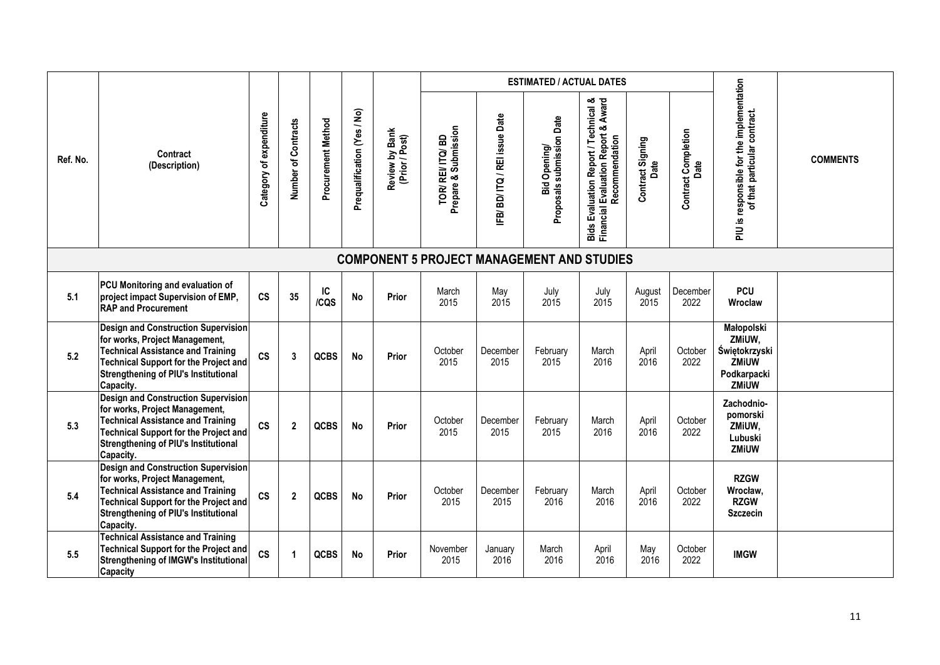|          |                                                                                                                                                                                                                                      |                                                |                     |                    |                             |                                  |                                                   |                           | <b>ESTIMATED / ACTUAL DATES</b>           |                                                                                               |                          |                                    |                                                                                      |                 |
|----------|--------------------------------------------------------------------------------------------------------------------------------------------------------------------------------------------------------------------------------------|------------------------------------------------|---------------------|--------------------|-----------------------------|----------------------------------|---------------------------------------------------|---------------------------|-------------------------------------------|-----------------------------------------------------------------------------------------------|--------------------------|------------------------------------|--------------------------------------------------------------------------------------|-----------------|
| Ref. No. | Contract<br>(Description)                                                                                                                                                                                                            | expenditure<br>$\overline{\sigma}$<br>Category | Number of Contracts | Procurement Method | Prequalification (Yes / No) | Review by Bank<br>(Prior / Post) | TOR/REI/ITQ/BD<br>Prepare & Submission            | IFB/BD/ITQ/REI issue Date | Proposals submission Date<br>Bid Opening/ | Bids Evaluation Report / Technical &<br>Financial Evaluation Report & Award<br>Recommendation | Contract Signing<br>Date | <b>Contract Completion</b><br>Date | responsible for the implementation<br>of that particular contract.<br>ei NId         | <b>COMMENTS</b> |
|          |                                                                                                                                                                                                                                      |                                                |                     |                    |                             |                                  | <b>COMPONENT 5 PROJECT MANAGEMENT AND STUDIES</b> |                           |                                           |                                                                                               |                          |                                    |                                                                                      |                 |
| 5.1      | PCU Monitoring and evaluation of<br>project impact Supervision of EMP,<br><b>RAP and Procurement</b>                                                                                                                                 | $\mathsf{cs}$                                  | 35                  | IC<br>/CQS         | <b>No</b>                   | Prior                            | March<br>2015                                     | May<br>2015               | July<br>2015                              | July<br>2015                                                                                  | August<br>2015           | December<br>2022                   | <b>PCU</b><br>Wroclaw                                                                |                 |
| 5.2      | <b>Design and Construction Supervision</b><br>for works, Project Management,<br><b>Technical Assistance and Training</b><br><b>Technical Support for the Project and</b><br><b>Strengthening of PIU's Institutional</b><br>Capacity. | $\mathsf{cs}$                                  | 3                   | QCBS               | <b>No</b>                   | Prior                            | October<br>2015                                   | December<br>2015          | February<br>2015                          | March<br>2016                                                                                 | April<br>2016            | October<br>2022                    | Małopolski<br>ZMiUW,<br>Świętokrzyski<br><b>ZMIUW</b><br>Podkarpacki<br><b>ZMiUW</b> |                 |
| 5.3      | Design and Construction Supervision<br>for works, Project Management,<br><b>Technical Assistance and Training</b><br><b>Technical Support for the Project and</b><br><b>Strengthening of PIU's Institutional</b><br>Capacity.        | <b>CS</b>                                      | $\overline{2}$      | <b>QCBS</b>        | <b>No</b>                   | Prior                            | October<br>2015                                   | December<br>2015          | February<br>2015                          | March<br>2016                                                                                 | April<br>2016            | October<br>2022                    | Zachodnio-<br>pomorski<br>ZMiUW,<br>Lubuski<br>ZMiUW                                 |                 |
| 5.4      | <b>Design and Construction Supervision</b><br>for works, Project Management,<br><b>Technical Assistance and Training</b><br><b>Technical Support for the Project and</b><br><b>Strengthening of PIU's Institutional</b><br>Capacity. | <b>CS</b>                                      | $\mathbf{2}$        | QCBS               | <b>No</b>                   | Prior                            | October<br>2015                                   | December<br>2015          | February<br>2016                          | March<br>2016                                                                                 | April<br>2016            | October<br>2022                    | <b>RZGW</b><br>Wrocław,<br><b>RZGW</b><br><b>Szczecin</b>                            |                 |
| 5.5      | <b>Technical Assistance and Training</b><br>Technical Support for the Project and<br><b>Strengthening of IMGW's Institutional</b><br><b>Capacity</b>                                                                                 | $\mathsf{cs}$                                  |                     | QCBS               | <b>No</b>                   | Prior                            | November<br>2015                                  | January<br>2016           | March<br>2016                             | April<br>2016                                                                                 | May<br>2016              | October<br>2022                    | <b>IMGW</b>                                                                          |                 |